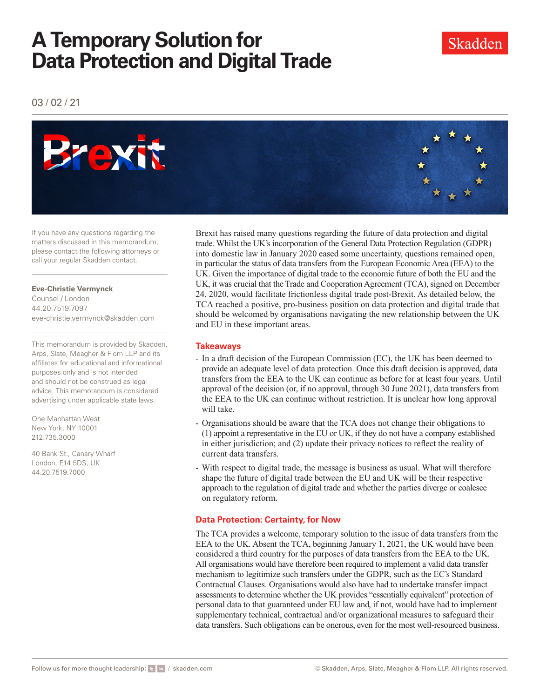## **A Temporary Solution for Data Protection and Digital Trade**

03 / 02 / 21



If you have any questions regarding the matters discussed in this memorandum, please contact the following attorneys or call your regular Skadden contact.

**Eve-Christie Vermynck** 

Counsel / London 44.20.7519.7097 eve-christie.vermynck@skadden.com

This memorandum is provided by Skadden, Arps, Slate, Meagher & Flom LLP and its affiliates for educational and informational purposes only and is not intended and should not be construed as legal advice. This memorandum is considered advertising under applicable state laws.

One Manhattan West New York, NY 10001 212.735.3000

40 Bank St., Canary Wharf London, E14 5DS, UK 44.20.7519.7000

Brexit has raised many questions regarding the future of data protection and digital trade. Whilst the UK's incorporation of the General Data Protection Regulation (GDPR) into domestic law in January 2020 eased some uncertainty, questions remained open, in particular the status of data transfers from the European Economic Area (EEA) to the UK. Given the importance of digital trade to the economic future of both the EU and the UK, it was crucial that the Trade and Cooperation Agreement (TCA), signed on December 24, 2020, would facilitate frictionless digital trade post-Brexit. As detailed below, the TCA reached a positive, pro-business position on data protection and digital trade that should be welcomed by organisations navigating the new relationship between the UK and EU in these important areas.

### **Takeaways**

- In a draft decision of the European Commission (EC), the UK has been deemed to provide an adequate level of data protection. Once this draft decision is approved, data transfers from the EEA to the UK can continue as before for at least four years. Until approval of the decision (or, if no approval, through 30 June 2021), data transfers from the EEA to the UK can continue without restriction. It is unclear how long approval will take.
- Organisations should be aware that the TCA does not change their obligations to (1) appoint a representative in the EU or UK, if they do not have a company established in either jurisdiction; and (2) update their privacy notices to reflect the reality of current data transfers.
- With respect to digital trade, the message is business as usual. What will therefore shape the future of digital trade between the EU and UK will be their respective approach to the regulation of digital trade and whether the parties diverge or coalesce on regulatory reform.

### **Data Protection: Certainty, for Now**

The TCA provides a welcome, temporary solution to the issue of data transfers from the EEA to the UK. Absent the TCA, beginning January 1, 2021, the UK would have been considered a third country for the purposes of data transfers from the EEA to the UK. All organisations would have therefore been required to implement a valid data transfer mechanism to legitimize such transfers under the GDPR, such as the EC's Standard Contractual Clauses. Organisations would also have had to undertake transfer impact assessments to determine whether the UK provides "essentially equivalent" protection of personal data to that guaranteed under EU law and, if not, would have had to implement supplementary technical, contractual and/or organizational measures to safeguard their data transfers. Such obligations can be onerous, even for the most well-resourced business.